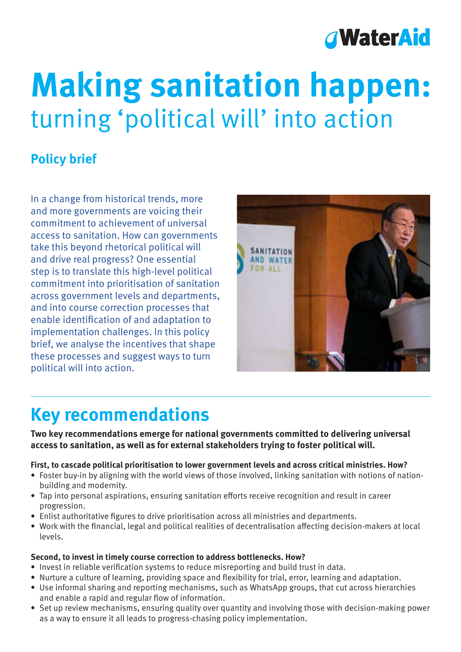

# **Making sanitation happen:** turning 'political will' into action

### **Policy brief**

In a change from historical trends, more and more governments are voicing their commitment to achievement of universal access to sanitation. How can governments take this beyond rhetorical political will and drive real progress? One essential step is to translate this high-level political commitment into prioritisation of sanitation across government levels and departments, and into course correction processes that enable identification of and adaptation to implementation challenges. In this policy brief, we analyse the incentives that shape these processes and suggest ways to turn political will into action.



## **Key recommendations**

**Two key recommendations emerge for national governments committed to delivering universal access to sanitation, as well as for external stakeholders trying to foster political will.**

#### **First, to cascade political prioritisation to lower government levels and across critical ministries. How?**

- Foster buy-in by aligning with the world views of those involved, linking sanitation with notions of nationbuilding and modernity.
- Tap into personal aspirations, ensuring sanitation efforts receive recognition and result in career progression.
- Enlist authoritative figures to drive prioritisation across all ministries and departments.
- Work with the financial, legal and political realities of decentralisation affecting decision-makers at local levels.

#### **Second, to invest in timely course correction to address bottlenecks. How?**

- Invest in reliable verification systems to reduce misreporting and build trust in data.
- Nurture a culture of learning, providing space and flexibility for trial, error, learning and adaptation.
- Use informal sharing and reporting mechanisms, such as WhatsApp groups, that cut across hierarchies and enable a rapid and regular flow of information.
- Set up review mechanisms, ensuring quality over quantity and involving those with decision-making power as a way to ensure it all leads to progress-chasing policy implementation.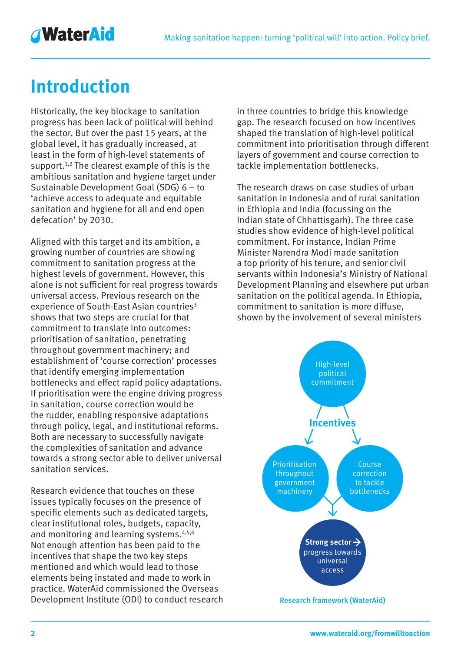## **AWaterAid**

## **Introduction**

Historically, the key blockage to sanitation progress has been lack of political will behind the sector. But over the past 15 years, at the global level, it has gradually increased, at least in the form of high-level statements of support.<sup>1,2</sup> The clearest example of this is the ambitious sanitation and hygiene target under Sustainable Development Goal (SDG) 6 – to 'achieve access to adequate and equitable sanitation and hygiene for all and end open defecation' by 2030.

Aligned with this target and its ambition, a growing number of countries are showing commitment to sanitation progress at the highest levels of government. However, this alone is not sufficient for real progress towards universal access. Previous research on the experience of South-East Asian countries<sup>3</sup> shows that two steps are crucial for that commitment to translate into outcomes: prioritisation of sanitation, penetrating throughout government machinery; and establishment of 'course correction' processes that identify emerging implementation bottlenecks and effect rapid policy adaptations. If prioritisation were the engine driving progress in sanitation, course correction would be the rudder, enabling responsive adaptations through policy, legal, and institutional reforms. Both are necessary to successfully navigate the complexities of sanitation and advance towards a strong sector able to deliver universal sanitation services.

Research evidence that touches on these issues typically focuses on the presence of specific elements such as dedicated targets, clear institutional roles, budgets, capacity, and monitoring and learning systems.<sup>4,5,6</sup> Not enough attention has been paid to the incentives that shape the two key steps mentioned and which would lead to those elements being instated and made to work in practice. WaterAid commissioned the Overseas Development Institute (ODI) to conduct research in three countries to bridge this knowledge gap. The research focused on how incentives shaped the translation of high-level political commitment into prioritisation through different layers of government and course correction to tackle implementation bottlenecks.

The research draws on case studies of urban sanitation in Indonesia and of rural sanitation in Ethiopia and India (focussing on the Indian state of Chhattisgarh). The three case studies show evidence of high-level political commitment. For instance, Indian Prime Minister Narendra Modi made sanitation a top priority of his tenure, and senior civil servants within Indonesia's Ministry of National Development Planning and elsewhere put urban sanitation on the political agenda. In Ethiopia, commitment to sanitation is more diffuse, shown by the involvement of several ministers

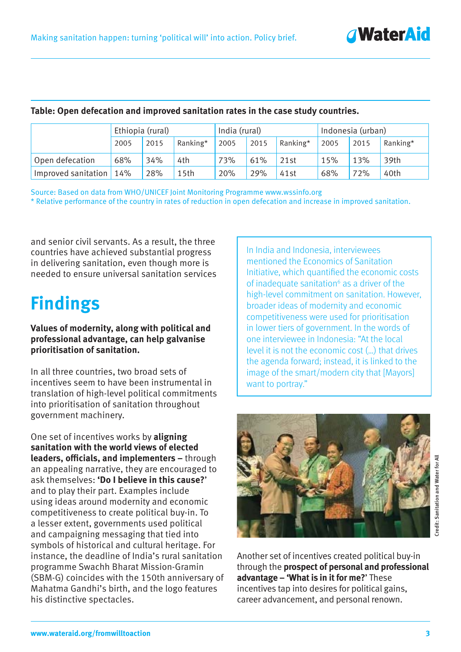| Table: Open defecation and improved sanitation rates in the case study countries. |                  |      |                  |               |      |          |                   |      |          |
|-----------------------------------------------------------------------------------|------------------|------|------------------|---------------|------|----------|-------------------|------|----------|
|                                                                                   | Ethiopia (rural) |      |                  | India (rural) |      |          | Indonesia (urban) |      |          |
|                                                                                   | 2005             | 2015 | Ranking*         | 2005          | 2015 | Ranking* | 2005              | 2015 | Ranking* |
| Open defecation                                                                   | 68%              | 34%  | 4th              | 73%           | 61%  | 21st     | 15%               | 13%  | 39th     |
| Improved sanitation                                                               | 14%              | 28%  | 15 <sub>th</sub> | 20%           | 29%  | 41st     | 68%               | 72%  | 40th     |

Source: Based on data from WHO/UNICEF Joint Monitoring Programme www.wssinfo.org \* Relative performance of the country in rates of reduction in open defecation and increase in improved sanitation.

and senior civil servants. As a result, the three countries have achieved substantial progress in delivering sanitation, even though more is needed to ensure universal sanitation services

## **Findings**

#### **Values of modernity, along with political and professional advantage, can help galvanise prioritisation of sanitation.**

In all three countries, two broad sets of incentives seem to have been instrumental in translation of high-level political commitments into prioritisation of sanitation throughout government machinery.

One set of incentives works by **aligning sanitation with the world views of elected leaders, officials, and implementers –** through an appealing narrative, they are encouraged to ask themselves: **'Do I believe in this cause?**' and to play their part. Examples include using ideas around modernity and economic competitiveness to create political buy-in. To a lesser extent, governments used political and campaigning messaging that tied into symbols of historical and cultural heritage. For instance, the deadline of India's rural sanitation programme Swachh Bharat Mission-Gramin (SBM-G) coincides with the 150th anniversary of Mahatma Gandhi's birth, and the logo features his distinctive spectacles.

In India and Indonesia, interviewees mentioned the Economics of Sanitation Initiative, which quantified the economic costs of inadequate sanitation<sup>6</sup> as a driver of the high-level commitment on sanitation. However, broader ideas of modernity and economic competitiveness were used for prioritisation in lower tiers of government. In the words of one interviewee in Indonesia: "At the local level it is not the economic cost (…) that drives the agenda forward; instead, it is linked to the image of the smart/modern city that [Mayors] want to portray."

*<u>AWaterAid</u>* 



Another set of incentives created political buy-in through the **prospect of personal and professional advantage – 'What is in it for me?**' These incentives tap into desires for political gains, career advancement, and personal renown.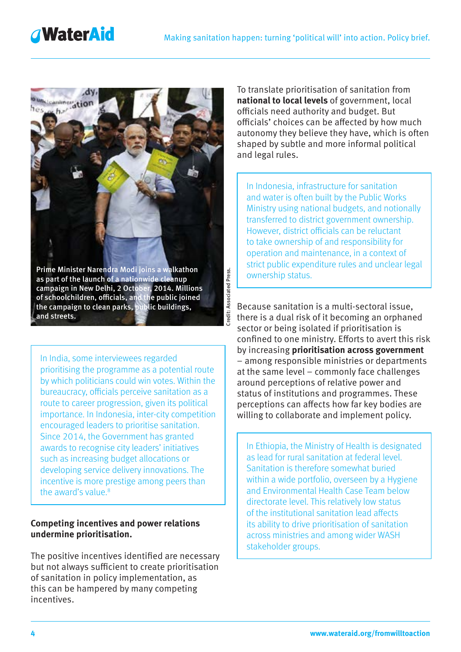## **AWaterAid**



as part of the launch of a nationwide cleanup campaign in New Delhi, 2 October, 2014. Millions of schoolchildren, officials, and the public joined the campaign to clean parks, public buildings, and streets.

Credit: Associated Press.

Credit: Associated Press.

In India, some interviewees regarded prioritising the programme as a potential route by which politicians could win votes. Within the bureaucracy, officials perceive sanitation as a route to career progression, given its political importance. In Indonesia, inter-city competition encouraged leaders to prioritise sanitation. Since 2014, the Government has granted awards to recognise city leaders' initiatives such as increasing budget allocations or developing service delivery innovations. The incentive is more prestige among peers than the award's value. $8$ 

#### **Competing incentives and power relations undermine prioritisation.**

The positive incentives identified are necessary but not always sufficient to create prioritisation of sanitation in policy implementation, as this can be hampered by many competing incentives.

To translate prioritisation of sanitation from **national to local levels** of government, local officials need authority and budget. But officials' choices can be affected by how much autonomy they believe they have, which is often shaped by subtle and more informal political and legal rules.

In Indonesia, infrastructure for sanitation and water is often built by the Public Works Ministry using national budgets, and notionally transferred to district government ownership. However, district officials can be reluctant to take ownership of and responsibility for operation and maintenance, in a context of strict public expenditure rules and unclear legal ownership status.

Because sanitation is a multi-sectoral issue, there is a dual risk of it becoming an orphaned sector or being isolated if prioritisation is confined to one ministry. Efforts to avert this risk by increasing **prioritisation across government** – among responsible ministries or departments at the same level – commonly face challenges around perceptions of relative power and status of institutions and programmes. These perceptions can affects how far key bodies are willing to collaborate and implement policy.

In Ethiopia, the Ministry of Health is designated as lead for rural sanitation at federal level. Sanitation is therefore somewhat buried within a wide portfolio, overseen by a Hygiene and Environmental Health Case Team below directorate level. This relatively low status of the institutional sanitation lead affects its ability to drive prioritisation of sanitation across ministries and among wider WASH stakeholder groups.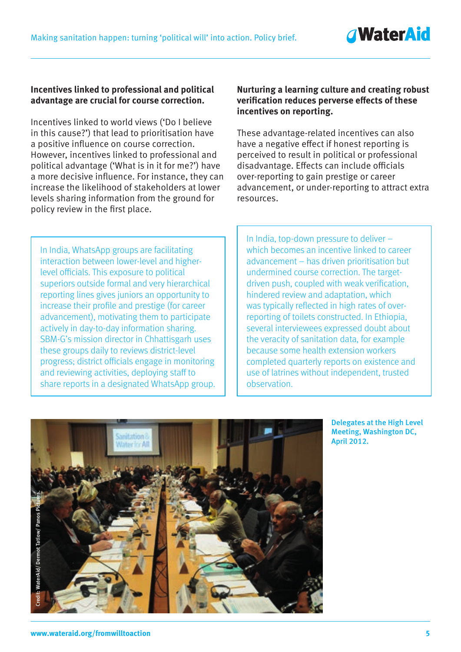#### **Incentives linked to professional and political advantage are crucial for course correction.**

Incentives linked to world views ('Do I believe in this cause?') that lead to prioritisation have a positive influence on course correction. However, incentives linked to professional and political advantage ('What is in it for me?') have a more decisive influence. For instance, they can increase the likelihood of stakeholders at lower levels sharing information from the ground for policy review in the first place.

#### **Nurturing a learning culture and creating robust verification reduces perverse effects of these incentives on reporting.**

These advantage-related incentives can also have a negative effect if honest reporting is perceived to result in political or professional disadvantage. Effects can include officials over-reporting to gain prestige or career advancement, or under-reporting to attract extra resources.

In India, WhatsApp groups are facilitating interaction between lower-level and higherlevel officials. This exposure to political superiors outside formal and very hierarchical reporting lines gives juniors an opportunity to increase their profile and prestige (for career advancement), motivating them to participate actively in day-to-day information sharing. SBM-G's mission director in Chhattisgarh uses these groups daily to reviews district-level progress; district officials engage in monitoring and reviewing activities, deploying staff to share reports in a designated WhatsApp group.

In India, top-down pressure to deliver – which becomes an incentive linked to career advancement – has driven prioritisation but undermined course correction. The targetdriven push, coupled with weak verification, hindered review and adaptation, which was typically reflected in high rates of overreporting of toilets constructed. In Ethiopia, several interviewees expressed doubt about the veracity of sanitation data, for example because some health extension workers completed quarterly reports on existence and use of latrines without independent, trusted observation.

> Delegates at the High Level Meeting, Washington DC, April 2012.



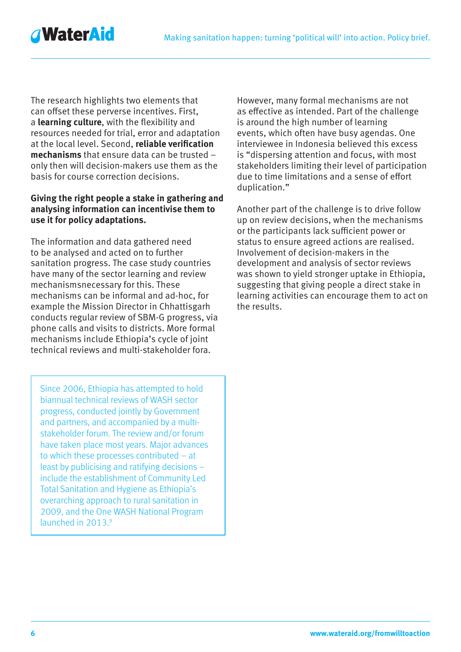**AWaterAid** 

The research highlights two elements that can offset these perverse incentives. First, a **learning culture**, with the flexibility and resources needed for trial, error and adaptation at the local level. Second, **reliable verification mechanisms** that ensure data can be trusted – only then will decision-makers use them as the basis for course correction decisions.

#### **Giving the right people a stake in gathering and analysing information can incentivise them to use it for policy adaptations.**

The information and data gathered need to be analysed and acted on to further sanitation progress. The case study countries have many of the sector learning and review mechanismsnecessary for this. These mechanisms can be informal and ad-hoc, for example the Mission Director in Chhattisgarh conducts regular review of SBM-G progress, via phone calls and visits to districts. More formal mechanisms include Ethiopia's cycle of joint technical reviews and multi-stakeholder fora.

Since 2006, Ethiopia has attempted to hold biannual technical reviews of WASH sector progress, conducted jointly by Government and partners, and accompanied by a multistakeholder forum. The review and/or forum have taken place most years. Major advances to which these processes contributed – at least by publicising and ratifying decisions – include the establishment of Community Led Total Sanitation and Hygiene as Ethiopia's overarching approach to rural sanitation in 2009, and the One WASH National Program launched in 2013.9

However, many formal mechanisms are not as effective as intended. Part of the challenge is around the high number of learning events, which often have busy agendas. One interviewee in Indonesia believed this excess is "dispersing attention and focus, with most stakeholders limiting their level of participation due to time limitations and a sense of effort duplication."

Another part of the challenge is to drive follow up on review decisions, when the mechanisms or the participants lack sufficient power or status to ensure agreed actions are realised. Involvement of decision-makers in the development and analysis of sector reviews was shown to yield stronger uptake in Ethiopia, suggesting that giving people a direct stake in learning activities can encourage them to act on the results.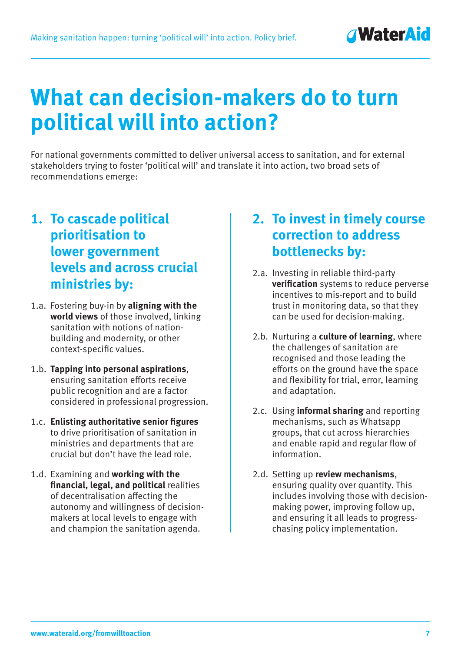## **What can decision-makers do to turn political will into action?**

For national governments committed to deliver universal access to sanitation, and for external stakeholders trying to foster 'political will' and translate it into action, two broad sets of recommendations emerge:

### **1. To cascade political prioritisation to lower government levels and across crucial ministries by:**

- 1.a. Fostering buy-in by **aligning with the world views** of those involved, linking sanitation with notions of nationbuilding and modernity, or other context-specific values.
- 1.b. **Tapping into personal aspirations**, ensuring sanitation efforts receive public recognition and are a factor considered in professional progression.
- 1.c. **Enlisting authoritative senior figures** to drive prioritisation of sanitation in ministries and departments that are crucial but don't have the lead role.
- 1.d. Examining and **working with the financial, legal, and political** realities of decentralisation affecting the autonomy and willingness of decisionmakers at local levels to engage with and champion the sanitation agenda.

### **2. To invest in timely course correction to address bottlenecks by:**

- 2.a. Investing in reliable third-party **verification** systems to reduce perverse incentives to mis-report and to build trust in monitoring data, so that they can be used for decision-making.
- 2.b. Nurturing a **culture of learning**, where the challenges of sanitation are recognised and those leading the efforts on the ground have the space and flexibility for trial, error, learning and adaptation.
- 2.c. Using **informal sharing** and reporting mechanisms, such as Whatsapp groups, that cut across hierarchies and enable rapid and regular flow of information.
- 2.d. Setting up **review mechanisms**, ensuring quality over quantity. This includes involving those with decisionmaking power, improving follow up, and ensuring it all leads to progresschasing policy implementation.